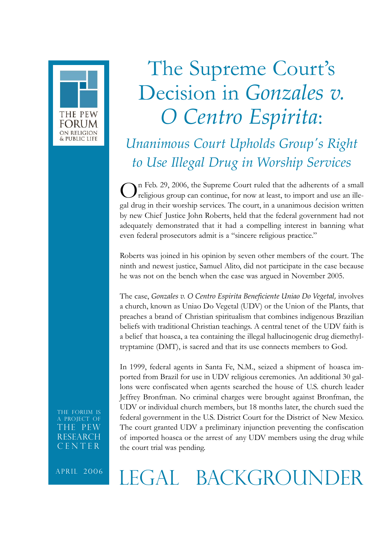

## The Supreme Court's Decision in *Gonzales v. O Centro Espirita*:

## *Unanimous Court Upholds Group's Right to Use Illegal Drug in Worship Services*

On Feb. 29, 2006, the Supreme Court ruled that the adherents of a small religious group can continue, for now at least, to import and use an illegal drug in their worship services. The court, in a unanimous decision written by new Chief Justice John Roberts, held that the federal government had not adequately demonstrated that it had a compelling interest in banning what even federal prosecutors admit is a "sincere religious practice."

Roberts was joined in his opinion by seven other members of the court. The ninth and newest justice, Samuel Alito, did not participate in the case because he was not on the bench when the case was argued in November 2005.

The case, *Gonzales v. O Centro Espirita Beneficiente Uniao Do Vegetal*, involves a church, known as Uniao Do Vegetal (UDV) or the Union of the Plants, that preaches a brand of Christian spiritualism that combines indigenous Brazilian beliefs with traditional Christian teachings. A central tenet of the UDV faith is a belief that hoasca, a tea containing the illegal hallucinogenic drug diemethyltryptamine (DMT), is sacred and that its use connects members to God.

In 1999, federal agents in Santa Fe, N.M., seized a shipment of hoasca imported from Brazil for use in UDV religious ceremonies. An additional 30 gallons were confiscated when agents searched the house of U.S. church leader Jeffrey Bronfman. No criminal charges were brought against Bronfman, the UDV or individual church members, but 18 months later, the church sued the federal government in the U.S. District Court for the District of New Mexico. The court granted UDV a preliminary injunction preventing the confiscation of imported hoasca or the arrest of any UDV members using the drug while the court trial was pending.

The Forum is a Project of THE PEW **RESEARCH** CENTER

APRIL 2006 LEGAL BACKGROUNDER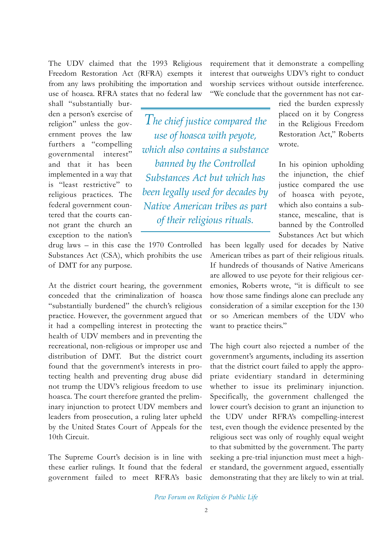The UDV claimed that the 1993 Religious Freedom Restoration Act (RFRA) exempts it from any laws prohibiting the importation and use of hoasca. RFRA states that no federal law

requirement that it demonstrate a compelling interest that outweighs UDV's right to conduct worship services without outside interference. "We conclude that the government has not car-

shall "substantially burden a person's exercise of religion" unless the government proves the law furthers a "compelling governmental interest" and that it has been implemented in a way that is "least restrictive" to religious practices. The federal government countered that the courts cannot grant the church an exception to the nation's

drug laws – in this case the 1970 Controlled Substances Act (CSA), which prohibits the use of DMT for any purpose.

At the district court hearing, the government conceded that the criminalization of hoasca "substantially burdened" the church's religious practice. However, the government argued that it had a compelling interest in protecting the health of UDV members and in preventing the recreational, non-religious or improper use and distribution of DMT. But the district court found that the government's interests in protecting health and preventing drug abuse did not trump the UDV's religious freedom to use hoasca. The court therefore granted the preliminary injunction to protect UDV members and leaders from prosecution, a ruling later upheld by the United States Court of Appeals for the 10th Circuit.

The Supreme Court's decision is in line with these earlier rulings. It found that the federal government failed to meet RFRA's basic

*The chief justice compared the use of hoasca with peyote, which also contains a substance banned by the Controlled Substances Act but which has been legally used for decades by Native American tribes as part of their religious rituals.*

ried the burden expressly placed on it by Congress in the Religious Freedom Restoration Act," Roberts wrote.

In his opinion upholding the injunction, the chief justice compared the use of hoasca with peyote, which also contains a substance, mescaline, that is banned by the Controlled Substances Act but which

has been legally used for decades by Native American tribes as part of their religious rituals. If hundreds of thousands of Native Americans are allowed to use peyote for their religious ceremonies, Roberts wrote, "it is difficult to see how those same findings alone can preclude any consideration of a similar exception for the 130 or so American members of the UDV who want to practice theirs."

The high court also rejected a number of the government's arguments, including its assertion that the district court failed to apply the appropriate evidentiary standard in determining whether to issue its preliminary injunction. Specifically, the government challenged the lower court's decision to grant an injunction to the UDV under RFRA's compelling-interest test, even though the evidence presented by the religious sect was only of roughly equal weight to that submitted by the government. The party seeking a pre-trial injunction must meet a higher standard, the government argued, essentially demonstrating that they are likely to win at trial.

*Pew Forum on Religion & Public Life*